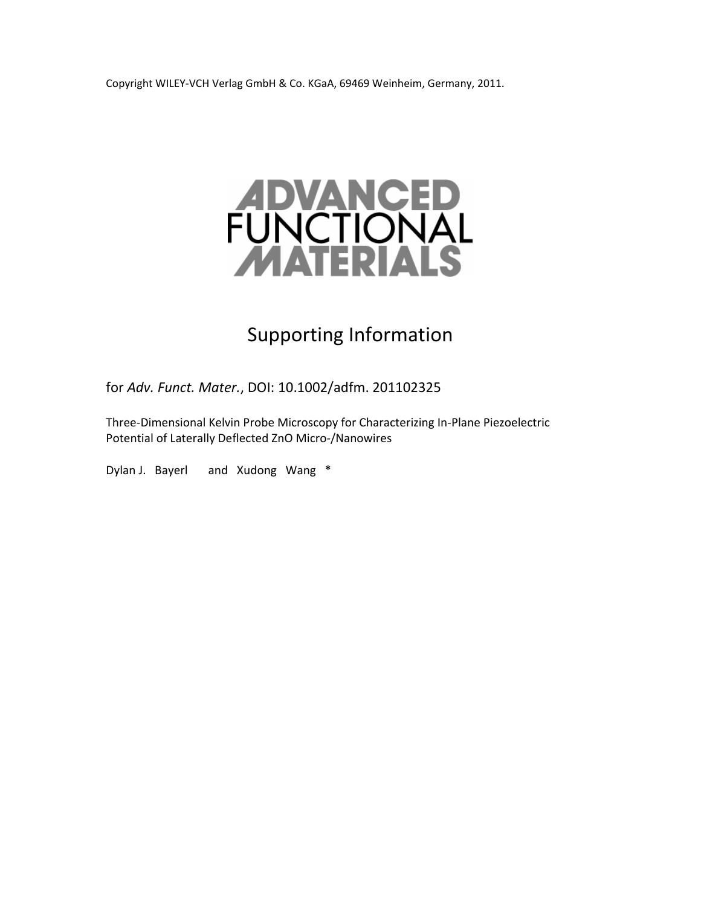Copyright WILEY‐VCH Verlag GmbH & Co. KGaA, 69469 Weinheim, Germany, 2011.



## Supporting Information

for *Adv. Funct. Mater.*, DOI: 10.1002/adfm. 201102325

Three‐Dimensional Kelvin Probe Microscopy for Characterizing In‐Plane Piezoelectric Potential of Laterally Deflected ZnO Micro‐/Nanowires

Dylan J. Bayerl and Xudong Wang \*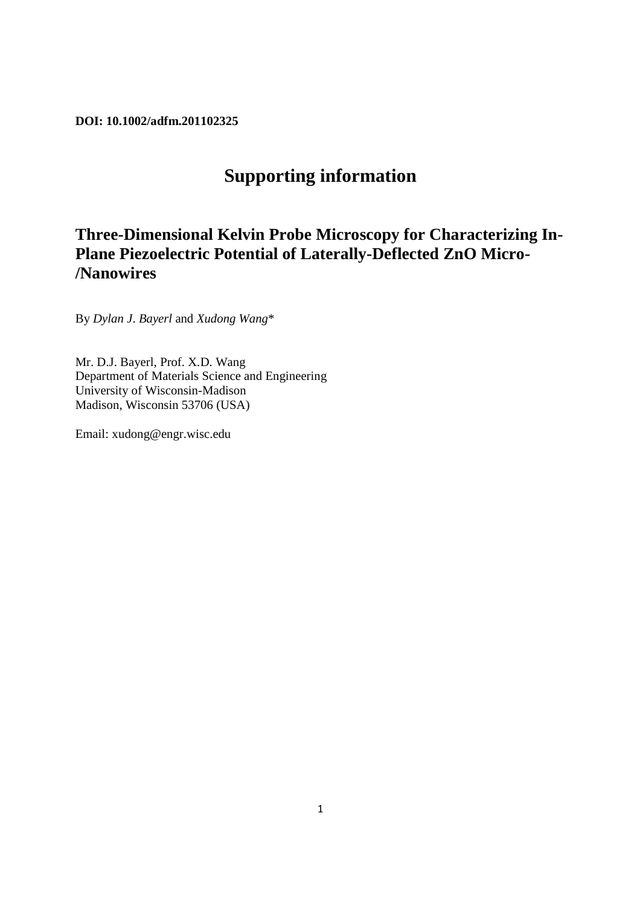**DOI: 10.1002/adfm.201102325** 

## **Supporting information**

## **Three-Dimensional Kelvin Probe Microscopy for Characterizing In-Plane Piezoelectric Potential of Laterally-Deflected ZnO Micro- /Nanowires**

By *Dylan J*. *Bayerl* and *Xudong Wang*\*

Mr. D.J. Bayerl, Prof. X.D. Wang Department of Materials Science and Engineering University of Wisconsin-Madison Madison, Wisconsin 53706 (USA)

Email: xudong@engr.wisc.edu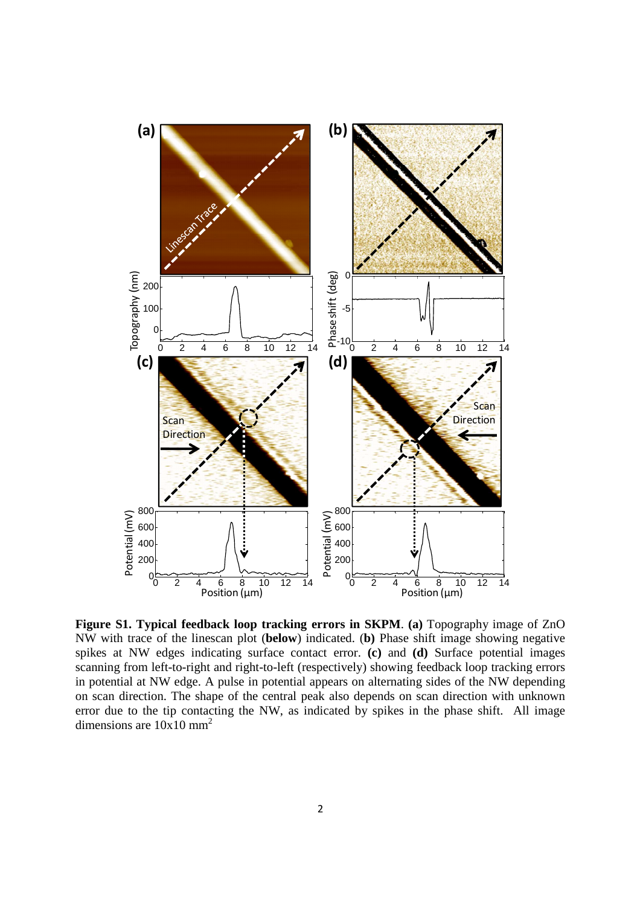

**Figure S1. Typical feedback loop tracking errors in SKPM**. **(a)** Topography image of ZnO NW with trace of the linescan plot (**below**) indicated. (**b)** Phase shift image showing negative spikes at NW edges indicating surface contact error. **(c)** and **(d)** Surface potential images scanning from left-to-right and right-to-left (respectively) showing feedback loop tracking errors in potential at NW edge. A pulse in potential appears on alternating sides of the NW depending on scan direction. The shape of the central peak also depends on scan direction with unknown error due to the tip contacting the NW, as indicated by spikes in the phase shift. All image dimensions are  $10x10$  mm<sup>2</sup>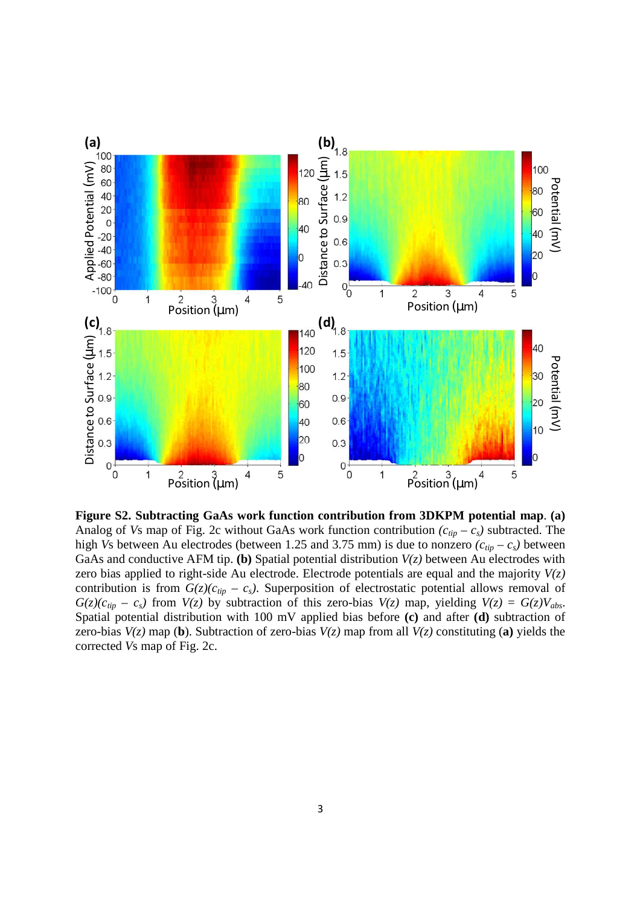

**Figure S2. Subtracting GaAs work function contribution from 3DKPM potential map**. **(a)** Analog of *Vs* map of Fig. 2c without GaAs work function contribution  $(c_{tip} - c_s)$  subtracted. The high *Vs* between Au electrodes (between 1.25 and 3.75 mm) is due to nonzero  $(c_{tip} - c_s)$  between GaAs and conductive AFM tip. **(b)** Spatial potential distribution *V(z)* between Au electrodes with zero bias applied to right-side Au electrode. Electrode potentials are equal and the majority *V(z)*  contribution is from  $G(z)(c_{tip} - c_s)$ . Superposition of electrostatic potential allows removal of  $G(z)(c_{tip} - c_s)$  from  $V(z)$  by subtraction of this zero-bias  $V(z)$  map, yielding  $V(z) = G(z)V_{abs}$ . Spatial potential distribution with 100 mV applied bias before **(c)** and after **(d)** subtraction of zero-bias  $V(z)$  map (**b**). Subtraction of zero-bias  $V(z)$  map from all  $V(z)$  constituting (**a**) yields the corrected *V*s map of Fig. 2c.